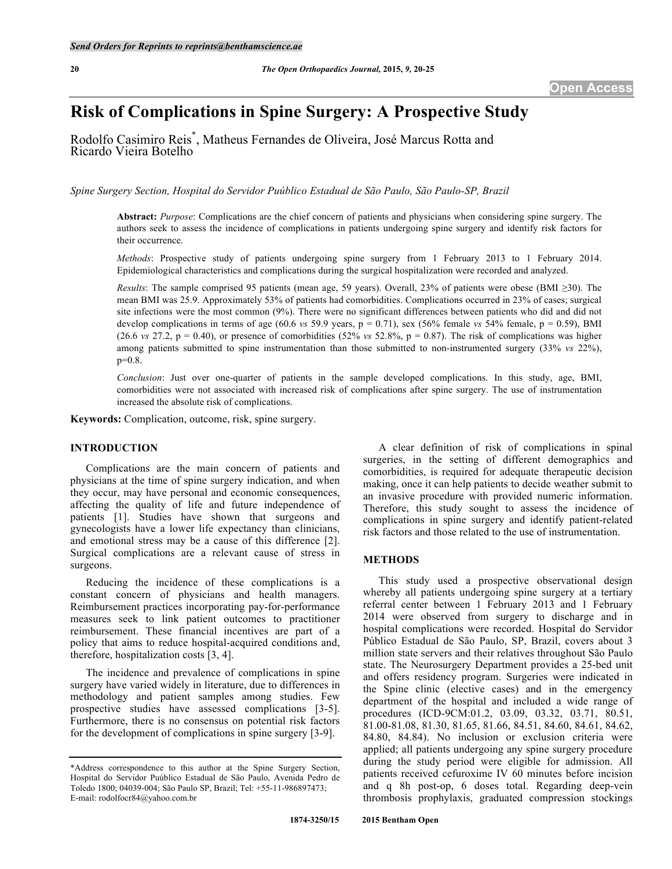# **Risk of Complications in Spine Surgery: A Prospective Study**

Rodolfo Casimiro Reis\* , Matheus Fernandes de Oliveira, José Marcus Rotta and Ricardo Vieira Botelho

*Spine Surgery Section, Hospital do Servidor Puúblico Estadual de São Paulo, São Paulo-SP, Brazil*

**Abstract:** *Purpose*: Complications are the chief concern of patients and physicians when considering spine surgery. The authors seek to assess the incidence of complications in patients undergoing spine surgery and identify risk factors for their occurrence.

*Methods*: Prospective study of patients undergoing spine surgery from 1 February 2013 to 1 February 2014. Epidemiological characteristics and complications during the surgical hospitalization were recorded and analyzed.

*Results*: The sample comprised 95 patients (mean age, 59 years). Overall, 23% of patients were obese (BMI ≥30). The mean BMI was 25.9. Approximately 53% of patients had comorbidities. Complications occurred in 23% of cases; surgical site infections were the most common (9%). There were no significant differences between patients who did and did not develop complications in terms of age (60.6  $\upsilon$  s 59.9 years, p = 0.71), sex (56% female  $\upsilon$  s 54% female, p = 0.59), BMI (26.6  $\text{vs } 27.2$ ,  $\text{p} = 0.40$ ), or presence of comorbidities (52%  $\text{vs } 52.8\%$ ,  $\text{p} = 0.87$ ). The risk of complications was higher among patients submitted to spine instrumentation than those submitted to non-instrumented surgery (33% *vs* 22%), p=0.8.

*Conclusion*: Just over one-quarter of patients in the sample developed complications. In this study, age, BMI, comorbidities were not associated with increased risk of complications after spine surgery. The use of instrumentation increased the absolute risk of complications.

**Keywords:** Complication, outcome, risk, spine surgery.

## **INTRODUCTION**

Complications are the main concern of patients and physicians at the time of spine surgery indication, and when they occur, may have personal and economic consequences, affecting the quality of life and future independence of patients [1]. Studies have shown that surgeons and gynecologists have a lower life expectancy than clinicians, and emotional stress may be a cause of this difference [2]. Surgical complications are a relevant cause of stress in surgeons.

Reducing the incidence of these complications is a constant concern of physicians and health managers. Reimbursement practices incorporating pay-for-performance measures seek to link patient outcomes to practitioner reimbursement. These financial incentives are part of a policy that aims to reduce hospital-acquired conditions and, therefore, hospitalization costs [3, 4].

The incidence and prevalence of complications in spine surgery have varied widely in literature, due to differences in methodology and patient samples among studies. Few prospective studies have assessed complications [3-5]. Furthermore, there is no consensus on potential risk factors for the development of complications in spine surgery [3-9].

A clear definition of risk of complications in spinal surgeries, in the setting of different demographics and comorbidities, is required for adequate therapeutic decision making, once it can help patients to decide weather submit to an invasive procedure with provided numeric information. Therefore, this study sought to assess the incidence of complications in spine surgery and identify patient-related risk factors and those related to the use of instrumentation.

#### **METHODS**

This study used a prospective observational design whereby all patients undergoing spine surgery at a tertiary referral center between 1 February 2013 and 1 February 2014 were observed from surgery to discharge and in hospital complications were recorded. Hospital do Servidor Público Estadual de São Paulo, SP, Brazil, covers about 3 million state servers and their relatives throughout São Paulo state. The Neurosurgery Department provides a 25-bed unit and offers residency program. Surgeries were indicated in the Spine clinic (elective cases) and in the emergency department of the hospital and included a wide range of procedures (ICD-9CM:01.2, 03.09, 03.32, 03.71, 80.51, 81.00-81.08, 81.30, 81.65, 81.66, 84.51, 84.60, 84.61, 84.62, 84.80, 84.84). No inclusion or exclusion criteria were applied; all patients undergoing any spine surgery procedure during the study period were eligible for admission. All patients received cefuroxime IV 60 minutes before incision and q 8h post-op, 6 doses total. Regarding deep-vein thrombosis prophylaxis, graduated compression stockings

<sup>\*</sup>Address correspondence to this author at the Spine Surgery Section, Hospital do Servidor Puúblico Estadual de São Paulo, Avenida Pedro de Toledo 1800; 04039-004; São Paulo SP, Brazil; Tel: +55-11-986897473; E-mail: rodolfocr84@yahoo.com.br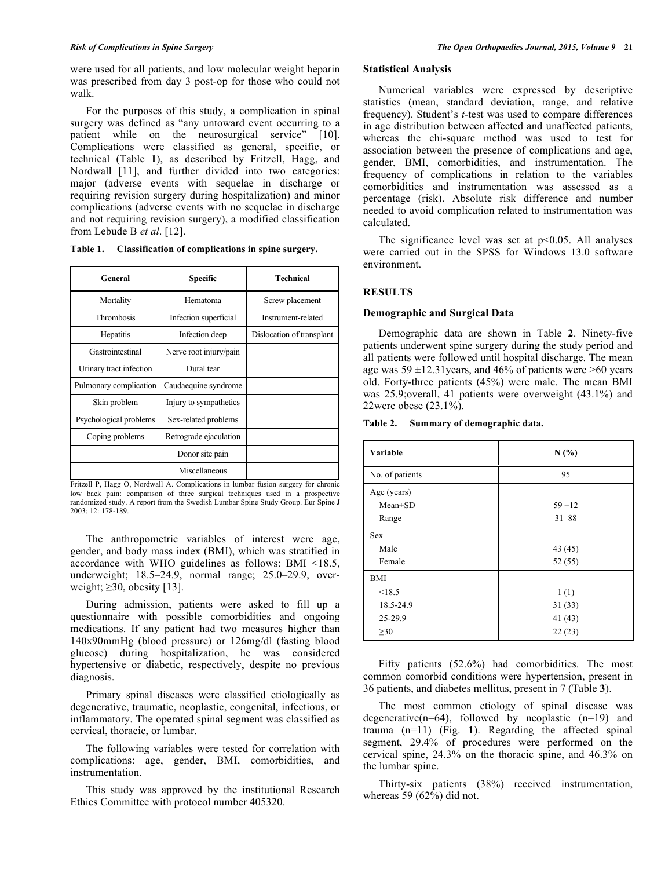were used for all patients, and low molecular weight heparin was prescribed from day 3 post-op for those who could not walk.

For the purposes of this study, a complication in spinal surgery was defined as "any untoward event occurring to a patient while on the neurosurgical service" [10]. Complications were classified as general, specific, or technical (Table **1**), as described by Fritzell, Hagg, and Nordwall [11], and further divided into two categories: major (adverse events with sequelae in discharge or requiring revision surgery during hospitalization) and minor complications (adverse events with no sequelae in discharge and not requiring revision surgery), a modified classification from Lebude B *et al*. [12].

**Table 1. Classification of complications in spine surgery.**

| General                 | Specific               | <b>Technical</b>          |  |
|-------------------------|------------------------|---------------------------|--|
| Mortality               | Hematoma               | Screw placement           |  |
| Thrombosis              | Infection superficial  | Instrument-related        |  |
| Hepatitis               | Infection deep         | Dislocation of transplant |  |
| Gastrointestinal        | Nerve root injury/pain |                           |  |
| Urinary tract infection | Dural tear             |                           |  |
| Pulmonary complication  | Caudaequine syndrome   |                           |  |
| Skin problem            | Injury to sympathetics |                           |  |
| Psychological problems  | Sex-related problems   |                           |  |
| Coping problems         | Retrograde ejaculation |                           |  |
|                         | Donor site pain        |                           |  |
|                         | Miscellaneous          |                           |  |

Fritzell P, Hagg O, Nordwall A. Complications in lumbar fusion surgery for chronic low back pain: comparison of three surgical techniques used in a prospective randomized study. A report from the Swedish Lumbar Spine Study Group. Eur Spine J 2003; 12: 178-189.

The anthropometric variables of interest were age, gender, and body mass index (BMI), which was stratified in accordance with WHO guidelines as follows: BMI <18.5, underweight; 18.5–24.9, normal range; 25.0–29.9, overweight;  $\geq 30$ , obesity [13].

During admission, patients were asked to fill up a questionnaire with possible comorbidities and ongoing medications. If any patient had two measures higher than 140x90mmHg (blood pressure) or 126mg/dl (fasting blood glucose) during hospitalization, he was considered hypertensive or diabetic, respectively, despite no previous diagnosis.

Primary spinal diseases were classified etiologically as degenerative, traumatic, neoplastic, congenital, infectious, or inflammatory. The operated spinal segment was classified as cervical, thoracic, or lumbar.

The following variables were tested for correlation with complications: age, gender, BMI, comorbidities, and instrumentation.

This study was approved by the institutional Research Ethics Committee with protocol number 405320.

# **Statistical Analysis**

Numerical variables were expressed by descriptive statistics (mean, standard deviation, range, and relative frequency). Student's *t-*test was used to compare differences in age distribution between affected and unaffected patients, whereas the chi-square method was used to test for association between the presence of complications and age, gender, BMI, comorbidities, and instrumentation. The frequency of complications in relation to the variables comorbidities and instrumentation was assessed as a percentage (risk). Absolute risk difference and number needed to avoid complication related to instrumentation was calculated.

The significance level was set at  $p<0.05$ . All analyses were carried out in the SPSS for Windows 13.0 software environment.

#### **RESULTS**

#### **Demographic and Surgical Data**

Demographic data are shown in Table **2**. Ninety-five patients underwent spine surgery during the study period and all patients were followed until hospital discharge. The mean age was  $59 \pm 12.31$  years, and 46% of patients were  $>60$  years old. Forty-three patients (45%) were male. The mean BMI was 25.9;overall, 41 patients were overweight (43.1%) and 22were obese (23.1%).

**Table 2. Summary of demographic data.**

| Variable                                                  | N(%)                                |
|-----------------------------------------------------------|-------------------------------------|
| No. of patients                                           | 95                                  |
| Age (years)<br>$Mean \pm SD$<br>Range                     | $59 + 12$<br>$31 - 88$              |
| <b>Sex</b><br>Male<br>Female                              | 43 (45)<br>52(55)                   |
| <b>BMI</b><br>< 18.5<br>18.5-24.9<br>25-29.9<br>$\geq 30$ | 1(1)<br>31(33)<br>41 (43)<br>22(23) |

Fifty patients (52.6%) had comorbidities. The most common comorbid conditions were hypertension, present in 36 patients, and diabetes mellitus, present in 7 (Table **3**).

The most common etiology of spinal disease was degenerative( $n=64$ ), followed by neoplastic  $(n=19)$  and trauma (n=11) (Fig. **1**). Regarding the affected spinal segment, 29.4% of procedures were performed on the cervical spine, 24.3% on the thoracic spine, and 46.3% on the lumbar spine.

Thirty-six patients (38%) received instrumentation, whereas 59 (62%) did not.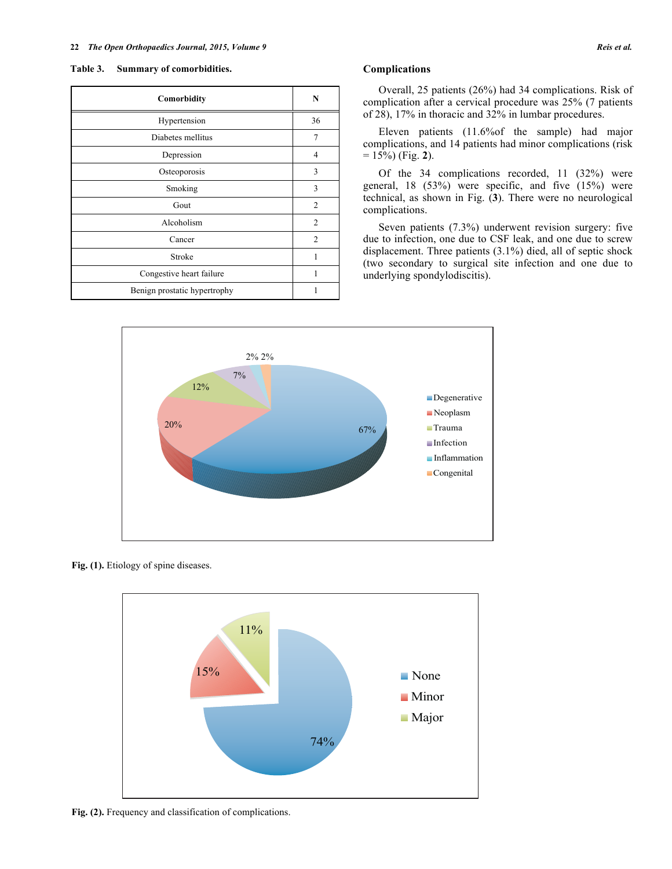#### **Table 3. Summary of comorbidities.**

| Comorbidity                  | N              |
|------------------------------|----------------|
| Hypertension                 | 36             |
| Diabetes mellitus            | 7              |
| Depression                   | 4              |
| Osteoporosis                 | 3              |
| Smoking                      | 3              |
| Gout                         | $\mathfrak{D}$ |
| Alcoholism                   | $\mathfrak{D}$ |
| Cancer                       | $\mathfrak{D}$ |
| Stroke                       |                |
| Congestive heart failure     |                |
| Benign prostatic hypertrophy |                |

## **Complications**

Overall, 25 patients (26%) had 34 complications. Risk of complication after a cervical procedure was 25% (7 patients of 28), 17% in thoracic and 32% in lumbar procedures.

Eleven patients (11.6%of the sample) had major complications, and 14 patients had minor complications (risk = 15%) (Fig. **2**).

Of the 34 complications recorded, 11 (32%) were general, 18 (53%) were specific, and five (15%) were technical, as shown in Fig. (**3**). There were no neurological complications.

Seven patients (7.3%) underwent revision surgery: five due to infection, one due to CSF leak, and one due to screw displacement. Three patients (3.1%) died, all of septic shock (two secondary to surgical site infection and one due to underlying spondylodiscitis).



**Fig. (1).** Etiology of spine diseases.



**Fig. (2).** Frequency and classification of complications.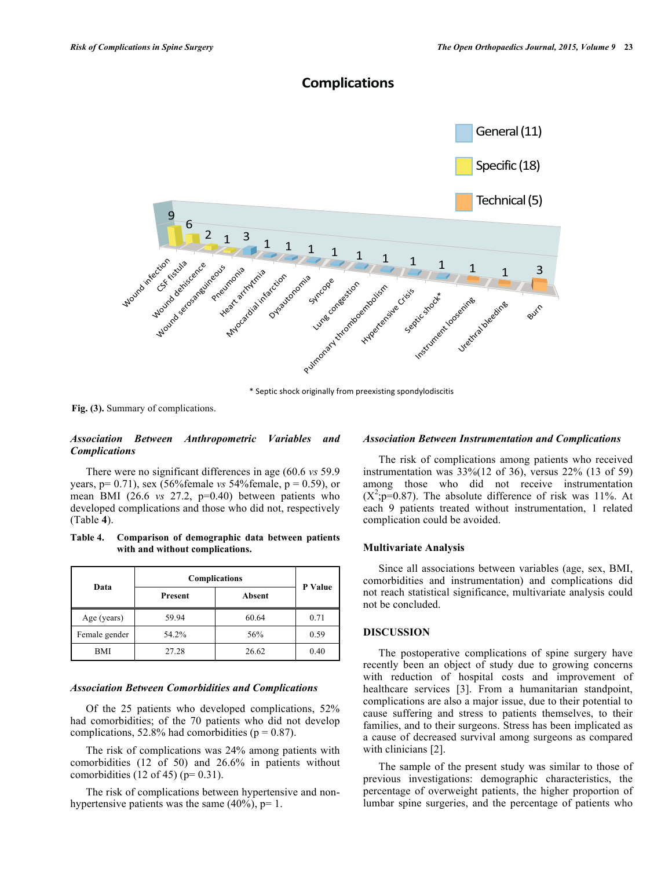

\* Septic shock originally from preexisting spondylodiscitis

**Fig. (3).** Summary of complications.

## *Association Between Anthropometric Variables and Complications*

There were no significant differences in age (60.6 *vs* 59.9 years, p= 0.71), sex (56%female *vs* 54%female, p = 0.59), or mean BMI (26.6 *vs* 27.2, p=0.40) between patients who developed complications and those who did not, respectively (Table **4**).

#### **Table 4. Comparison of demographic data between patients with and without complications.**

| Data          | <b>Complications</b> |        |                |
|---------------|----------------------|--------|----------------|
|               | Present              | Absent | <b>P</b> Value |
| Age (years)   | 59.94                | 60.64  | 0.71           |
| Female gender | 54.2%                | 56%    | 0.59           |
| <b>BMI</b>    | 27.28                | 26.62  | 0.40           |

#### *Association Between Comorbidities and Complications*

Of the 25 patients who developed complications, 52% had comorbidities; of the 70 patients who did not develop complications, 52.8% had comorbidities ( $p = 0.87$ ).

The risk of complications was 24% among patients with comorbidities (12 of 50) and 26.6% in patients without comorbidities  $(12 \text{ of } 45)$  (p= 0.31).

The risk of complications between hypertensive and nonhypertensive patients was the same  $(40\%)$ ,  $p=1$ .

## *Association Between Instrumentation and Complications*

The risk of complications among patients who received instrumentation was 33%(12 of 36), versus 22% (13 of 59) among those who did not receive instrumentation  $(X^2; p=0.87)$ . The absolute difference of risk was 11%. At each 9 patients treated without instrumentation, 1 related complication could be avoided.

## **Multivariate Analysis**

Since all associations between variables (age, sex, BMI, comorbidities and instrumentation) and complications did not reach statistical significance, multivariate analysis could not be concluded.

#### **DISCUSSION**

The postoperative complications of spine surgery have recently been an object of study due to growing concerns with reduction of hospital costs and improvement of healthcare services [3]. From a humanitarian standpoint, complications are also a major issue, due to their potential to cause suffering and stress to patients themselves, to their families, and to their surgeons. Stress has been implicated as a cause of decreased survival among surgeons as compared with clinicians [2].

The sample of the present study was similar to those of previous investigations: demographic characteristics, the percentage of overweight patients, the higher proportion of lumbar spine surgeries, and the percentage of patients who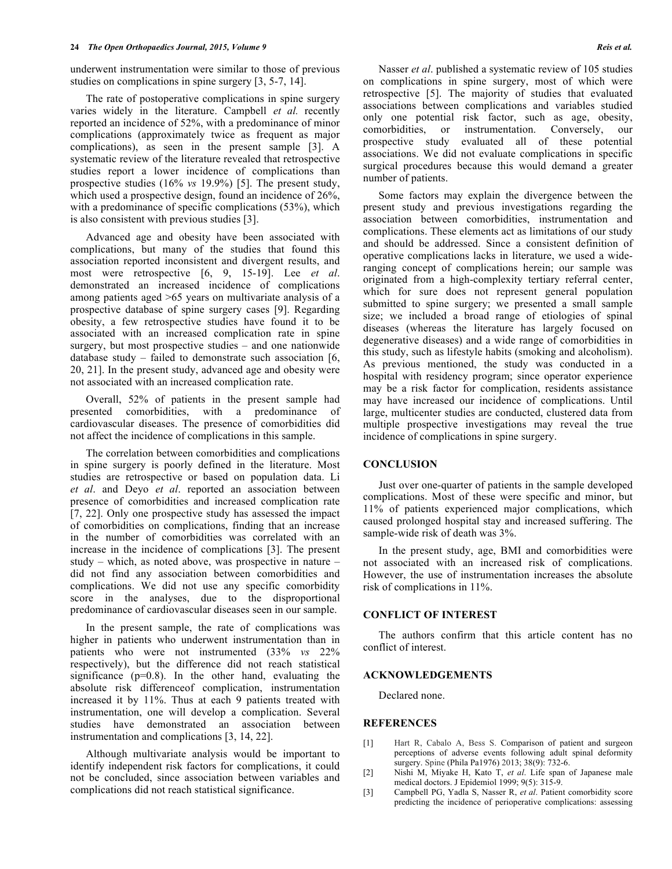underwent instrumentation were similar to those of previous studies on complications in spine surgery [3, 5-7, 14].

The rate of postoperative complications in spine surgery varies widely in the literature. Campbell *et al.* recently reported an incidence of 52%, with a predominance of minor complications (approximately twice as frequent as major complications), as seen in the present sample [3]. A systematic review of the literature revealed that retrospective studies report a lower incidence of complications than prospective studies (16% *vs* 19.9%) [5]. The present study, which used a prospective design, found an incidence of 26%, with a predominance of specific complications (53%), which is also consistent with previous studies [3].

Advanced age and obesity have been associated with complications, but many of the studies that found this association reported inconsistent and divergent results, and most were retrospective [6, 9, 15-19]. Lee *et al*. demonstrated an increased incidence of complications among patients aged >65 years on multivariate analysis of a prospective database of spine surgery cases [9]. Regarding obesity, a few retrospective studies have found it to be associated with an increased complication rate in spine surgery, but most prospective studies – and one nationwide database study – failed to demonstrate such association [6, 20, 21]. In the present study, advanced age and obesity were not associated with an increased complication rate.

Overall, 52% of patients in the present sample had presented comorbidities, with a predominance of cardiovascular diseases. The presence of comorbidities did not affect the incidence of complications in this sample.

The correlation between comorbidities and complications in spine surgery is poorly defined in the literature. Most studies are retrospective or based on population data. Li *et al*. and Deyo *et al*. reported an association between presence of comorbidities and increased complication rate [7, 22]. Only one prospective study has assessed the impact of comorbidities on complications, finding that an increase in the number of comorbidities was correlated with an increase in the incidence of complications [3]. The present study – which, as noted above, was prospective in nature – did not find any association between comorbidities and complications. We did not use any specific comorbidity score in the analyses, due to the disproportional predominance of cardiovascular diseases seen in our sample.

In the present sample, the rate of complications was higher in patients who underwent instrumentation than in patients who were not instrumented (33% *vs* 22% respectively), but the difference did not reach statistical significance  $(p=0.8)$ . In the other hand, evaluating the absolute risk differenceof complication, instrumentation increased it by 11%. Thus at each 9 patients treated with instrumentation, one will develop a complication. Several studies have demonstrated an association between instrumentation and complications [3, 14, 22].

Although multivariate analysis would be important to identify independent risk factors for complications, it could not be concluded, since association between variables and complications did not reach statistical significance.

Nasser *et al*. published a systematic review of 105 studies on complications in spine surgery, most of which were retrospective [5]. The majority of studies that evaluated associations between complications and variables studied only one potential risk factor, such as age, obesity, comorbidities, or instrumentation. Conversely, our prospective study evaluated all of these potential associations. We did not evaluate complications in specific surgical procedures because this would demand a greater number of patients.

Some factors may explain the divergence between the present study and previous investigations regarding the association between comorbidities, instrumentation and complications. These elements act as limitations of our study and should be addressed. Since a consistent definition of operative complications lacks in literature, we used a wideranging concept of complications herein; our sample was originated from a high-complexity tertiary referral center, which for sure does not represent general population submitted to spine surgery; we presented a small sample size; we included a broad range of etiologies of spinal diseases (whereas the literature has largely focused on degenerative diseases) and a wide range of comorbidities in this study, such as lifestyle habits (smoking and alcoholism). As previous mentioned, the study was conducted in a hospital with residency program; since operator experience may be a risk factor for complication, residents assistance may have increased our incidence of complications. Until large, multicenter studies are conducted, clustered data from multiple prospective investigations may reveal the true incidence of complications in spine surgery.

## **CONCLUSION**

Just over one-quarter of patients in the sample developed complications. Most of these were specific and minor, but 11% of patients experienced major complications, which caused prolonged hospital stay and increased suffering. The sample-wide risk of death was 3%.

In the present study, age, BMI and comorbidities were not associated with an increased risk of complications. However, the use of instrumentation increases the absolute risk of complications in 11%.

# **CONFLICT OF INTEREST**

The authors confirm that this article content has no conflict of interest.

## **ACKNOWLEDGEMENTS**

Declared none.

#### **REFERENCES**

- [1] Hart R, Cabalo A, Bess S. Comparison of patient and surgeon perceptions of adverse events following adult spinal deformity surgery. Spine (Phila Pa1976) 2013; 38(9): 732-6.
- [2] Nishi M, Miyake H, Kato T, *et al*. Life span of Japanese male medical doctors. J Epidemiol 1999; 9(5): 315-9.
- [3] Campbell PG, Yadla S, Nasser R, *et al*. Patient comorbidity score predicting the incidence of perioperative complications: assessing